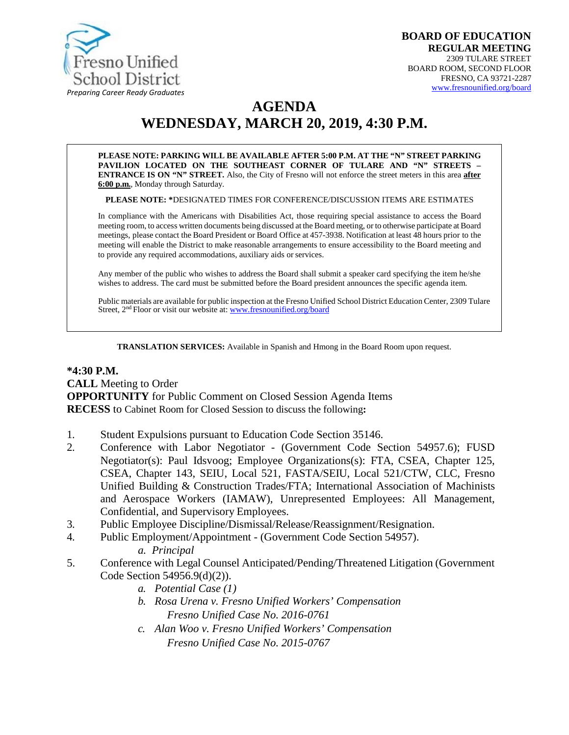

# **AGENDA WEDNESDAY, MARCH 20, 2019, 4:30 P.M.**

**PLEASE NOTE: PARKING WILL BE AVAILABLE AFTER 5:00 P.M. AT THE "N" STREET PARKING PAVILION LOCATED ON THE SOUTHEAST CORNER OF TULARE AND "N" STREETS – ENTRANCE IS ON "N" STREET.** Also, the City of Fresno will not enforce the street meters in this area **after 6:00 p.m.**, Monday through Saturday.

**PLEASE NOTE: \***DESIGNATED TIMES FOR CONFERENCE/DISCUSSION ITEMS ARE ESTIMATES

In compliance with the Americans with Disabilities Act, those requiring special assistance to access the Board meeting room, to access written documents being discussed at the Board meeting, or to otherwise participate atBoard meetings, please contact the Board President or Board Office at 457-3938. Notification at least 48 hours prior to the meeting will enable the District to make reasonable arrangements to ensure accessibility to the Board meeting and to provide any required accommodations, auxiliary aids orservices.

Any member of the public who wishes to address the Board shall submit a speaker card specifying the item he/she wishes to address. The card must be submitted before the Board president announces the specific agenda item.

Public materials are available for public inspection at the Fresno Unified School District Education Center, 2309 Tulare Street, 2<sup>nd</sup> Floor or visit our website at: [www.fresnounified.org/board](http://www.fresnounified.org/board)

**TRANSLATION SERVICES:** Available in Spanish and Hmong in the Board Room upon request.

#### **\*4:30 P.M. CALL** Meeting to Order **OPPORTUNITY** for Public Comment on Closed Session Agenda Items **RECESS** to Cabinet Room for Closed Session to discuss the following**:**

- 1. Student Expulsions pursuant to Education Code Section 35146.
- 2. Conference with Labor Negotiator (Government Code Section 54957.6); FUSD Negotiator(s): Paul Idsvoog; Employee Organizations(s): FTA, CSEA, Chapter 125, CSEA, Chapter 143, SEIU, Local 521, FASTA/SEIU, Local 521/CTW, CLC, Fresno Unified Building & Construction Trades/FTA; International Association of Machinists and Aerospace Workers (IAMAW), Unrepresented Employees: All Management, Confidential, and Supervisory Employees.
- 3. Public Employee Discipline/Dismissal/Release/Reassignment/Resignation.
- 4. Public Employment/Appointment (Government Code Section 54957).
	- *a. Principal*
- 5. Conference with Legal Counsel Anticipated/Pending/Threatened Litigation (Government Code Section 54956.9(d)(2)).
	- *a. Potential Case (1)*
	- *b. Rosa Urena v. Fresno Unified Workers' Compensation Fresno Unified Case No. 2016-0761*
	- *c. Alan Woo v. Fresno Unified Workers' Compensation Fresno Unified Case No. 2015-0767*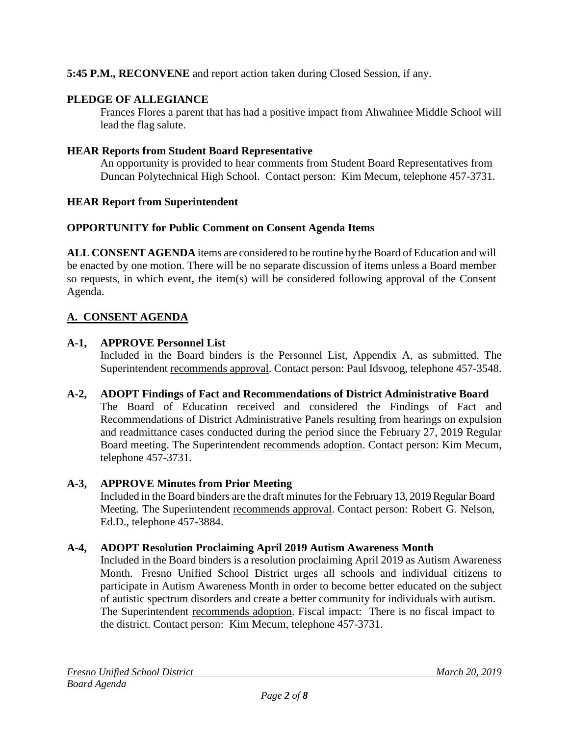# **5:45 P.M., RECONVENE** and report action taken during Closed Session, if any.

# **PLEDGE OF ALLEGIANCE**

Frances Flores a parent that has had a positive impact from Ahwahnee Middle School will lead the flag salute.

### **HEAR Reports from Student Board Representative**

An opportunity is provided to hear comments from Student Board Representatives from Duncan Polytechnical High School. Contact person: Kim Mecum, telephone 457-3731.

### **HEAR Report from Superintendent**

### **OPPORTUNITY for Public Comment on Consent Agenda Items**

**ALL CONSENT AGENDA** items are considered to be routine bythe Board of Education and will be enacted by one motion. There will be no separate discussion of items unless a Board member so requests, in which event, the item(s) will be considered following approval of the Consent Agenda.

# **A. CONSENT AGENDA**

# **A-1, APPROVE Personnel List**

Included in the Board binders is the Personnel List, Appendix A, as submitted. The Superintendent recommends approval. Contact person: Paul Idsvoog, telephone 457-3548.

### **A-2, ADOPT Findings of Fact and Recommendations of District Administrative Board** The Board of Education received and considered the Findings of Fact and Recommendations of District Administrative Panels resulting from hearings on expulsion and readmittance cases conducted during the period since the February 27, 2019 Regular Board meeting. The Superintendent recommends adoption. Contact person: Kim Mecum, telephone 457-3731.

# **A-3, APPROVE Minutes from Prior Meeting**

Included in the Board binders are the draft minutes for the February 13, 2019 Regular Board Meeting. The Superintendent recommends approval. Contact person: Robert G. Nelson, Ed.D., telephone 457-3884.

### **A-4, ADOPT Resolution Proclaiming April 2019 Autism Awareness Month**

Included in the Board binders is a resolution proclaiming April 2019 as Autism Awareness Month. Fresno Unified School District urges all schools and individual citizens to participate in Autism Awareness Month in order to become better educated on the subject of autistic spectrum disorders and create a better community for individuals with autism. The Superintendent recommends adoption. Fiscal impact: There is no fiscal impact to the district. Contact person: Kim Mecum, telephone 457-3731.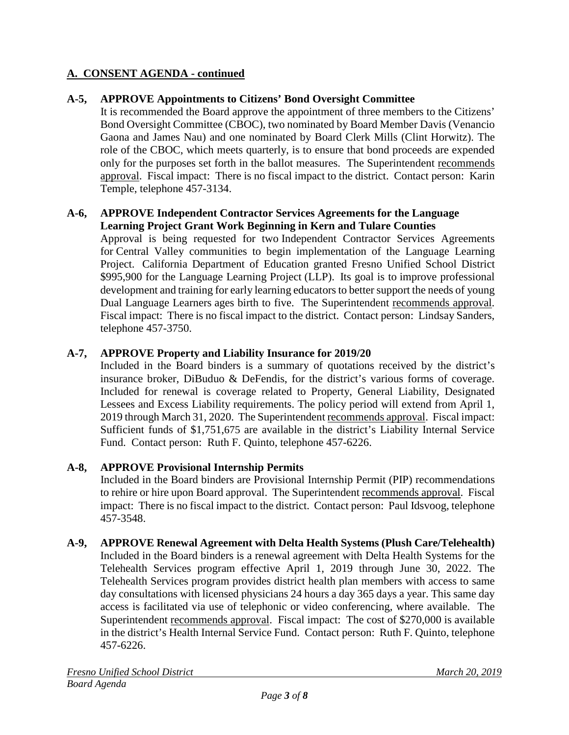# **A. CONSENT AGENDA - continued**

# **A-5, APPROVE Appointments to Citizens' Bond Oversight Committee**

It is recommended the Board approve the appointment of three members to the Citizens' Bond Oversight Committee (CBOC), two nominated by Board Member Davis (Venancio Gaona and James Nau) and one nominated by Board Clerk Mills (Clint Horwitz). The role of the CBOC, which meets quarterly, is to ensure that bond proceeds are expended only for the purposes set forth in the ballot measures. The Superintendent recommends approval. Fiscal impact: There is no fiscal impact to the district. Contact person: Karin Temple, telephone 457-3134.

#### **A-6, APPROVE Independent Contractor Services Agreements for the Language Learning Project Grant Work Beginning in Kern and Tulare Counties**

Approval is being requested for two Independent Contractor Services Agreements for Central Valley communities to begin implementation of the Language Learning Project. California Department of Education granted Fresno Unified School District \$995,900 for the Language Learning Project (LLP). Its goal is to improve professional development and training for early learning educators to better support the needs of young Dual Language Learners ages birth to five. The Superintendent recommends approval. Fiscal impact: There is no fiscal impact to the district. Contact person: Lindsay Sanders, telephone 457-3750.

# **A-7, APPROVE Property and Liability Insurance for 2019/20**

Included in the Board binders is a summary of quotations received by the district's insurance broker, DiBuduo & DeFendis, for the district's various forms of coverage. Included for renewal is coverage related to Property, General Liability, Designated Lessees and Excess Liability requirements. The policy period will extend from April 1, 2019 through March 31, 2020. The Superintendent recommends approval. Fiscal impact: Sufficient funds of \$1,751,675 are available in the district's Liability Internal Service Fund. Contact person: Ruth F. Quinto, telephone 457-6226.

# **A-8, APPROVE Provisional Internship Permits**

Included in the Board binders are Provisional Internship Permit (PIP) recommendations to rehire or hire upon Board approval. The Superintendent recommends approval. Fiscal impact: There is no fiscal impact to the district. Contact person: Paul Idsvoog, telephone 457-3548.

# **A-9, APPROVE Renewal Agreement with Delta Health Systems (Plush Care/Telehealth)**

Included in the Board binders is a renewal agreement with Delta Health Systems for the Telehealth Services program effective April 1, 2019 through June 30, 2022. The Telehealth Services program provides district health plan members with access to same day consultations with licensed physicians 24 hours a day 365 days a year. This same day access is facilitated via use of telephonic or video conferencing, where available. The Superintendent recommends approval. Fiscal impact: The cost of \$270,000 is available in the district's Health Internal Service Fund. Contact person: Ruth F. Quinto, telephone 457-6226.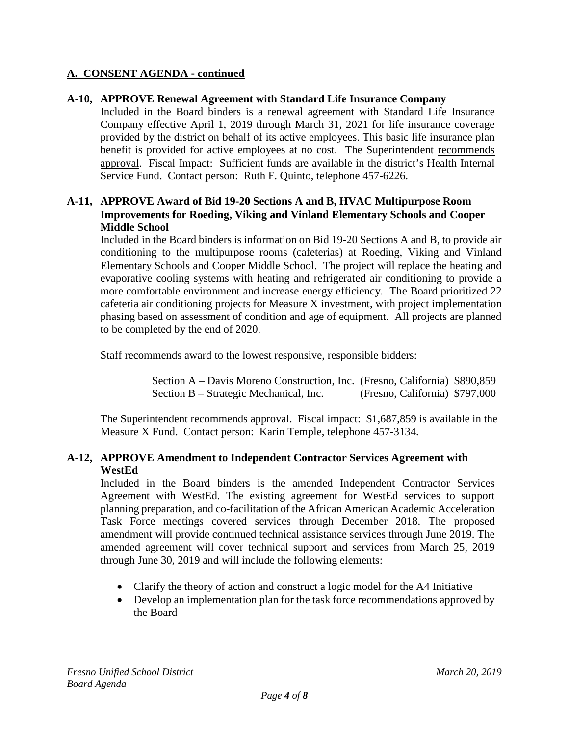# **A. CONSENT AGENDA - continued**

### **A-10, APPROVE Renewal Agreement with Standard Life Insurance Company**

Included in the Board binders is a renewal agreement with Standard Life Insurance Company effective April 1, 2019 through March 31, 2021 for life insurance coverage provided by the district on behalf of its active employees. This basic life insurance plan benefit is provided for active employees at no cost. The Superintendent recommends approval. Fiscal Impact: Sufficient funds are available in the district's Health Internal Service Fund. Contact person: Ruth F. Quinto, telephone 457-6226.

### **A-11, APPROVE Award of Bid 19-20 Sections A and B, HVAC Multipurpose Room Improvements for Roeding, Viking and Vinland Elementary Schools and Cooper Middle School**

Included in the Board binders is information on Bid 19-20 Sections A and B, to provide air conditioning to the multipurpose rooms (cafeterias) at Roeding, Viking and Vinland Elementary Schools and Cooper Middle School. The project will replace the heating and evaporative cooling systems with heating and refrigerated air conditioning to provide a more comfortable environment and increase energy efficiency. The Board prioritized 22 cafeteria air conditioning projects for Measure X investment, with project implementation phasing based on assessment of condition and age of equipment. All projects are planned to be completed by the end of 2020.

Staff recommends award to the lowest responsive, responsible bidders:

 Section A – Davis Moreno Construction, Inc. (Fresno, California) \$890,859 Section B – Strategic Mechanical, Inc. (Fresno, California) \$797,000

The Superintendent recommends approval. Fiscal impact: \$1,687,859 is available in the Measure X Fund. Contact person: Karin Temple, telephone 457-3134.

### **A-12, APPROVE Amendment to Independent Contractor Services Agreement with WestEd**

Included in the Board binders is the amended Independent Contractor Services Agreement with WestEd. The existing agreement for WestEd services to support planning preparation, and co-facilitation of the African American Academic Acceleration Task Force meetings covered services through December 2018. The proposed amendment will provide continued technical assistance services through June 2019. The amended agreement will cover technical support and services from March 25, 2019 through June 30, 2019 and will include the following elements:

- Clarify the theory of action and construct a logic model for the A4 Initiative
- Develop an implementation plan for the task force recommendations approved by the Board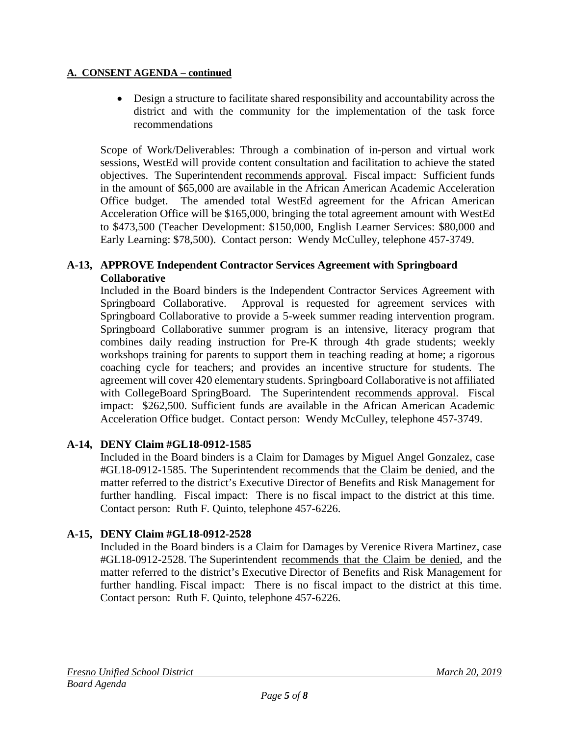#### **A. CONSENT AGENDA – continued**

• Design a structure to facilitate shared responsibility and accountability across the district and with the community for the implementation of the task force recommendations

Scope of Work/Deliverables: Through a combination of in-person and virtual work sessions, WestEd will provide content consultation and facilitation to achieve the stated objectives. The Superintendent recommends approval. Fiscal impact: Sufficient funds in the amount of \$65,000 are available in the African American Academic Acceleration Office budget. The amended total WestEd agreement for the African American Acceleration Office will be \$165,000, bringing the total agreement amount with WestEd to \$473,500 (Teacher Development: \$150,000, English Learner Services: \$80,000 and Early Learning: \$78,500). Contact person: Wendy McCulley, telephone 457-3749.

### **A-13, APPROVE Independent Contractor Services Agreement with Springboard Collaborative**

Included in the Board binders is the Independent Contractor Services Agreement with Springboard Collaborative. Approval is requested for agreement services with Springboard Collaborative to provide a 5-week summer reading intervention program. Springboard Collaborative summer program is an intensive, literacy program that combines daily reading instruction for Pre-K through 4th grade students; weekly workshops training for parents to support them in teaching reading at home; a rigorous coaching cycle for teachers; and provides an incentive structure for students. The agreement will cover 420 elementary students. Springboard Collaborative is not affiliated with CollegeBoard SpringBoard. The Superintendent recommends approval. Fiscal impact: \$262,500. Sufficient funds are available in the African American Academic Acceleration Office budget. Contact person: Wendy McCulley, telephone 457-3749.

# **A-14, DENY Claim #GL18-0912-1585**

Included in the Board binders is a Claim for Damages by Miguel Angel Gonzalez, case #GL18-0912-1585. The Superintendent recommends that the Claim be denied, and the matter referred to the district's Executive Director of Benefits and Risk Management for further handling. Fiscal impact: There is no fiscal impact to the district at this time. Contact person: Ruth F. Quinto, telephone 457-6226.

# **A-15, DENY Claim #GL18-0912-2528**

Included in the Board binders is a Claim for Damages by Verenice Rivera Martinez, case #GL18-0912-2528. The Superintendent recommends that the Claim be denied, and the matter referred to the district's Executive Director of Benefits and Risk Management for further handling. Fiscal impact: There is no fiscal impact to the district at this time. Contact person: Ruth F. Quinto, telephone 457-6226.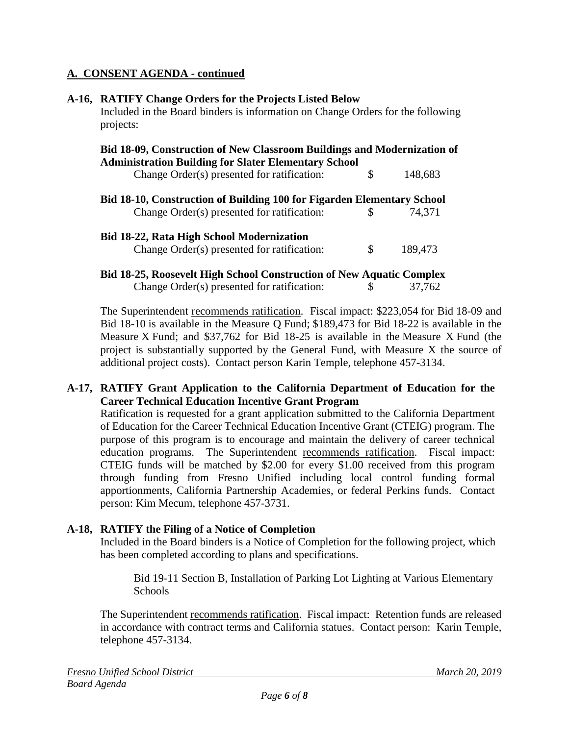### **A. CONSENT AGENDA - continued**

|  | A-16, RATIFY Change Orders for the Projects Listed Below<br>Included in the Board binders is information on Change Orders for the following<br>projects: |    |         |  |
|--|----------------------------------------------------------------------------------------------------------------------------------------------------------|----|---------|--|
|  | <b>Bid 18-09, Construction of New Classroom Buildings and Modernization of</b>                                                                           |    |         |  |
|  | <b>Administration Building for Slater Elementary School</b>                                                                                              |    |         |  |
|  | Change Order(s) presented for ratification:                                                                                                              | \$ | 148,683 |  |
|  | <b>Bid 18-10, Construction of Building 100 for Figarden Elementary School</b>                                                                            |    |         |  |
|  | Change Order(s) presented for ratification:                                                                                                              | \$ | 74.371  |  |
|  | <b>Bid 18-22, Rata High School Modernization</b>                                                                                                         |    |         |  |
|  | Change Order(s) presented for ratification:                                                                                                              | \$ | 189,473 |  |
|  | <b>Bid 18-25, Roosevelt High School Construction of New Aquatic Complex</b>                                                                              |    |         |  |
|  | Change Order(s) presented for ratification:                                                                                                              | S  | 37.762  |  |

The Superintendent recommends ratification. Fiscal impact: \$223,054 for Bid 18-09 and Bid 18-10 is available in the Measure Q Fund; \$189,473 for Bid 18-22 is available in the Measure X Fund; and \$37,762 for Bid 18-25 is available in the Measure X Fund (the project is substantially supported by the General Fund, with Measure X the source of additional project costs). Contact person Karin Temple, telephone 457-3134.

### **A-17, RATIFY Grant Application to the California Department of Education for the Career Technical Education Incentive Grant Program**

Ratification is requested for a grant application submitted to the California Department of Education for the Career Technical Education Incentive Grant (CTEIG) program. The purpose of this program is to encourage and maintain the delivery of career technical education programs. The Superintendent recommends ratification. Fiscal impact: CTEIG funds will be matched by \$2.00 for every \$1.00 received from this program through funding from Fresno Unified including local control funding formal apportionments, California Partnership Academies, or federal Perkins funds. Contact person: Kim Mecum, telephone 457-3731.

# **A-18, RATIFY the Filing of a Notice of Completion**

Included in the Board binders is a Notice of Completion for the following project, which has been completed according to plans and specifications.

Bid 19-11 Section B, Installation of Parking Lot Lighting at Various Elementary Schools

The Superintendent recommends ratification. Fiscal impact: Retention funds are released in accordance with contract terms and California statues. Contact person: Karin Temple, telephone 457-3134.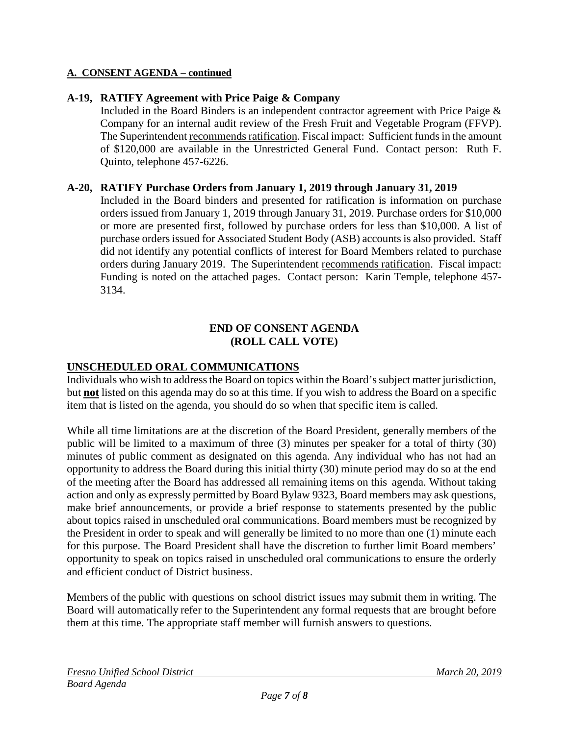#### **A. CONSENT AGENDA – continued**

### **A-19, RATIFY Agreement with Price Paige & Company**

Included in the Board Binders is an independent contractor agreement with Price Paige & Company for an internal audit review of the Fresh Fruit and Vegetable Program (FFVP). The Superintendent recommends ratification. Fiscal impact: Sufficient funds in the amount of \$120,000 are available in the Unrestricted General Fund. Contact person: Ruth F. Quinto, telephone 457-6226.

### **A-20, RATIFY Purchase Orders from January 1, 2019 through January 31, 2019**

Included in the Board binders and presented for ratification is information on purchase orders issued from January 1, 2019 through January 31, 2019. Purchase orders for \$10,000 or more are presented first, followed by purchase orders for less than \$10,000. A list of purchase orders issued for Associated Student Body (ASB) accounts is also provided. Staff did not identify any potential conflicts of interest for Board Members related to purchase orders during January 2019. The Superintendent recommends ratification. Fiscal impact: Funding is noted on the attached pages. Contact person: Karin Temple, telephone 457- 3134.

### **END OF CONSENT AGENDA (ROLL CALL VOTE)**

### **UNSCHEDULED ORAL COMMUNICATIONS**

Individuals who wish to address the Board on topics within the Board's subject matter jurisdiction, but **not** listed on this agenda may do so at this time. If you wish to address the Board on a specific item that is listed on the agenda, you should do so when that specific item is called.

While all time limitations are at the discretion of the Board President, generally members of the public will be limited to a maximum of three (3) minutes per speaker for a total of thirty (30) minutes of public comment as designated on this agenda. Any individual who has not had an opportunity to address the Board during this initial thirty (30) minute period may do so at the end of the meeting after the Board has addressed all remaining items on this agenda. Without taking action and only as expressly permitted by Board Bylaw 9323, Board members may ask questions, make brief announcements, or provide a brief response to statements presented by the public about topics raised in unscheduled oral communications. Board members must be recognized by the President in order to speak and will generally be limited to no more than one (1) minute each for this purpose. The Board President shall have the discretion to further limit Board members' opportunity to speak on topics raised in unscheduled oral communications to ensure the orderly and efficient conduct of District business.

Members of the public with questions on school district issues may submit them in writing. The Board will automatically refer to the Superintendent any formal requests that are brought before them at this time. The appropriate staff member will furnish answers to questions.